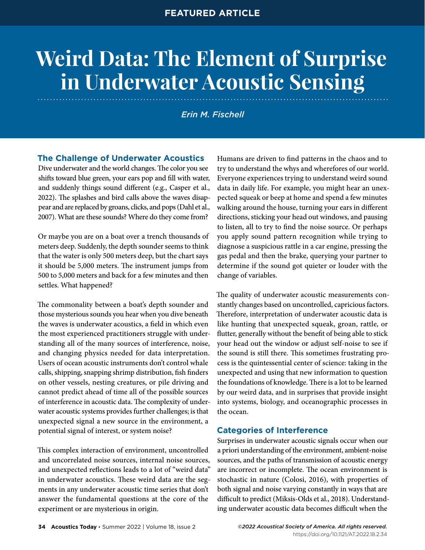# **Weird Data: The Element of Surprise in Underwater Acoustic Sensing**

*Erin M. Fischell*

# **The Challenge of Underwater Acoustics**

Dive underwater and the world changes. The color you see shifts toward blue green, your ears pop and fill with water, and suddenly things sound different (e.g., Casper et al., 2022). The splashes and bird calls above the waves disappear and are replaced by groans, clicks, and pops (Dahl et al., 2007). What are these sounds? Where do they come from?

Or maybe you are on a boat over a trench thousands of meters deep. Suddenly, the depth sounder seems to think that the water is only 500 meters deep, but the chart says it should be 5,000 meters. The instrument jumps from 500 to 5,000 meters and back for a few minutes and then settles. What happened?

The commonality between a boat's depth sounder and those mysterious sounds you hear when you dive beneath the waves is underwater acoustics, a field in which even the most experienced practitioners struggle with understanding all of the many sources of interference, noise, and changing physics needed for data interpretation. Users of ocean acoustic instruments don't control whale calls, shipping, snapping shrimp distribution, fish finders on other vessels, nesting creatures, or pile driving and cannot predict ahead of time all of the possible sources of interference in acoustic data. The complexity of underwater acoustic systems provides further challenges; is that unexpected signal a new source in the environment, a potential signal of interest, or system noise?

This complex interaction of environment, uncontrolled and uncorrelated noise sources, internal noise sources, and unexpected reflections leads to a lot of "weird data" in underwater acoustics. These weird data are the segments in any underwater acoustic time series that don't answer the fundamental questions at the core of the experiment or are mysterious in origin.

Humans are driven to find patterns in the chaos and to try to understand the whys and wherefores of our world. Everyone experiences trying to understand weird sound data in daily life. For example, you might hear an unexpected squeak or beep at home and spend a few minutes walking around the house, turning your ears in different directions, sticking your head out windows, and pausing to listen, all to try to find the noise source. Or perhaps you apply sound pattern recognition while trying to diagnose a suspicious rattle in a car engine, pressing the gas pedal and then the brake, querying your partner to determine if the sound got quieter or louder with the change of variables.

The quality of underwater acoustic measurements constantly changes based on uncontrolled, capricious factors. Therefore, interpretation of underwater acoustic data is like hunting that unexpected squeak, groan, rattle, or flutter, generally without the benefit of being able to stick your head out the window or adjust self-noise to see if the sound is still there. This sometimes frustrating process is the quintessential center of science: taking in the unexpected and using that new information to question the foundations of knowledge. There is a lot to be learned by our weird data, and in surprises that provide insight into systems, biology, and oceanographic processes in the ocean.

# **Categories of Interference**

Surprises in underwater acoustic signals occur when our a priori understanding of the environment, ambient-noise sources, and the paths of transmission of acoustic energy are incorrect or incomplete. The ocean environment is stochastic in nature (Colosi, 2016), with properties of both signal and noise varying constantly in ways that are difficult to predict (Miksis-Olds et al., 2018). Understanding underwater acoustic data becomes difficult when the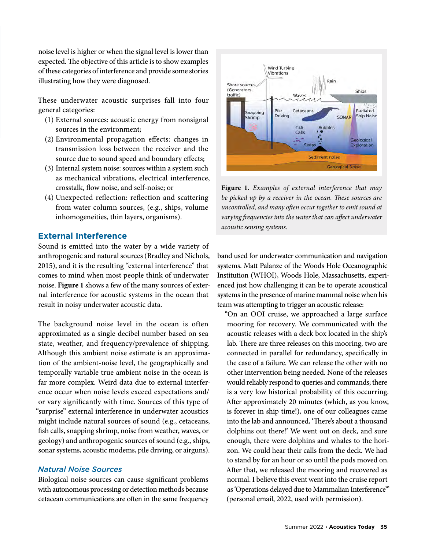noise level is higher or when the signal level is lower than expected. The objective of this article is to show examples of these categories of interference and provide some stories illustrating how they were diagnosed.

These underwater acoustic surprises fall into four general categories:

- (1) External sources: acoustic energy from nonsignal sources in the environment;
- (2) Environmental propagation effects: changes in transmission loss between the receiver and the source due to sound speed and boundary effects;
- (3) Internal system noise: sources within a system such as mechanical vibrations, electrical interference, crosstalk, flow noise, and self-noise; or
- (4) Unexpected reflection: reflection and scattering from water column sources, (e.g., ships, volume inhomogeneities, thin layers, organisms).

# **External Interference**

Sound is emitted into the water by a wide variety of anthropogenic and natural sources (Bradley and Nichols, 2015), and it is the resulting "external interference" that comes to mind when most people think of underwater noise. **Figure 1** shows a few of the many sources of external interference for acoustic systems in the ocean that result in noisy underwater acoustic data.

The background noise level in the ocean is often approximated as a single decibel number based on sea state, weather, and frequency/prevalence of shipping. Although this ambient noise estimate is an approximation of the ambient-noise level, the geographically and temporally variable true ambient noise in the ocean is far more complex. Weird data due to external interference occur when noise levels exceed expectations and/ or vary significantly with time. Sources of this type of "surprise" external interference in underwater acoustics might include natural sources of sound (e.g., cetaceans, fish calls, snapping shrimp, noise from weather, waves, or geology) and anthropogenic sources of sound (e.g., ships, sonar systems, acoustic modems, pile driving, or airguns).

### *Natural Noise Sources*

Biological noise sources can cause significant problems with autonomous processing or detection methods because cetacean communications are often in the same frequency



**Figure 1.** *Examples of external interference that may be picked up by a receiver in the ocean. These sources are uncontrolled, and many often occur together to emit sound at varying frequencies into the water that can affect underwater acoustic sensing systems.*

band used for underwater communication and navigation systems. Matt Palanze of the Woods Hole Oceanographic Institution (WHOI), Woods Hole, Massachusetts, experienced just how challenging it can be to operate acoustical systems in the presence of marine mammal noise when his team was attempting to trigger an acoustic release:

"On an OOI cruise, we approached a large surface mooring for recovery. We communicated with the acoustic releases with a deck box located in the ship's lab. There are three releases on this mooring, two are connected in parallel for redundancy, specifically in the case of a failure. We can release the other with no other intervention being needed. None of the releases would reliably respond to queries and commands; there is a very low historical probability of this occurring. After approximately 20 minutes (which, as you know, is forever in ship time!), one of our colleagues came into the lab and announced, 'There's about a thousand dolphins out there!' We went out on deck, and sure enough, there were dolphins and whales to the horizon. We could hear their calls from the deck. We had to stand by for an hour or so until the pods moved on. After that, we released the mooring and recovered as normal. I believe this event went into the cruise report as 'Operations delayed due to Mammalian Interference'" (personal email, 2022, used with permission).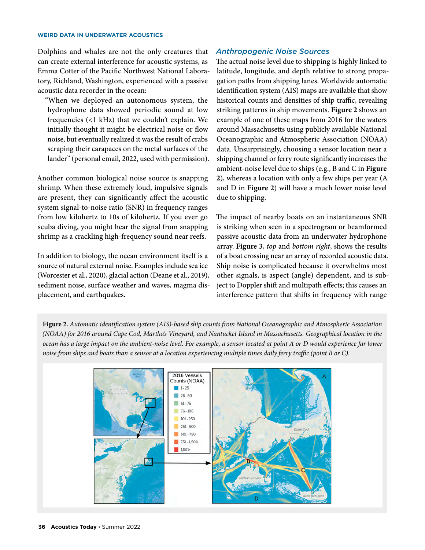#### **WEIRD DATA IN UNDERWATER ACOUSTICS**

Dolphins and whales are not the only creatures that can create external interference for acoustic systems, as Emma Cotter of the Pacific Northwest National Laboratory, Richland, Washington, experienced with a passive acoustic data recorder in the ocean:

"When we deployed an autonomous system, the hydrophone data showed periodic sound at low frequencies (<1 kHz) that we couldn't explain. We initially thought it might be electrical noise or flow noise, but eventually realized it was the result of crabs scraping their carapaces on the metal surfaces of the lander" (personal email, 2022, used with permission).

Another common biological noise source is snapping shrimp. When these extremely loud, impulsive signals are present, they can significantly affect the acoustic system signal-to-noise ratio (SNR) in frequency ranges from low kilohertz to 10s of kilohertz. If you ever go scuba diving, you might hear the signal from snapping shrimp as a crackling high-frequency sound near reefs.

In addition to biology, the ocean environment itself is a source of natural external noise. Examples include sea ice (Worcester et al., 2020), glacial action (Deane et al., 2019), sediment noise, surface weather and waves, magma displacement, and earthquakes.

#### *Anthropogenic Noise Sources*

The actual noise level due to shipping is highly linked to latitude, longitude, and depth relative to strong propagation paths from shipping lanes. Worldwide automatic identification system (AIS) maps are available that show historical counts and densities of ship traffic, revealing striking patterns in ship movements. **Figure 2** shows an example of one of these maps from 2016 for the waters around Massachusetts using publicly available National Oceanographic and Atmospheric Association (NOAA) data. Unsurprisingly, choosing a sensor location near a shipping channel or ferry route significantly increases the ambient-noise level due to ships (e.g., B and C in **Figure 2**), whereas a location with only a few ships per year (A and D in **Figure 2**) will have a much lower noise level due to shipping.

The impact of nearby boats on an instantaneous SNR is striking when seen in a spectrogram or beamformed passive acoustic data from an underwater hydrophone array. **Figure 3**, *top* and *bottom right*, shows the results of a boat crossing near an array of recorded acoustic data. Ship noise is complicated because it overwhelms most other signals, is aspect (angle) dependent, and is subject to Doppler shift and multipath effects; this causes an interference pattern that shifts in frequency with range

**Figure 2.** *Automatic identification system (AIS)-based ship counts from National Oceanographic and Atmospheric Association (NOAA) for 2016 around Cape Cod, Martha's Vineyard, and Nantucket Island in Massachusetts. Geographical location in the ocean has a large impact on the ambient-noise level. For example, a sensor located at point A or D would experience far lower noise from ships and boats than a sensor at a location experiencing multiple times daily ferry traffic (point B or C).* 

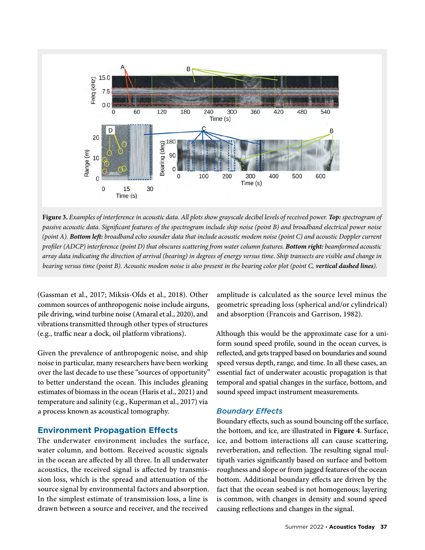

**Figure 3.** *Examples of interference in acoustic data. All plots show grayscale decibel levels of received power. Top: spectrogram of passive acoustic data. Significant features of the spectrogram include ship noise (point B) and broadband electrical power noise (point A). Bottom left: broadband echo sounder data that include acoustic modem noise (point C) and acoustic Doppler current profiler (ADCP) interference (point D) that obscures scattering from water column features. Bottom right: beamformed acoustic array data indicating the direction of arrival (bearing) in degrees of energy versus time. Ship transects are visible and change in bearing versus time (point B). Acoustic modem noise is also present in the bearing color plot (point C, vertical dashed lines).*

(Gassman et al., 2017; Miksis-Olds et al., 2018). Other common sources of anthropogenic noise include airguns, pile driving, wind turbine noise (Amaral et al., 2020), and vibrations transmitted through other types of structures (e.g., traffic near a dock, oil platform vibrations).

Given the prevalence of anthropogenic noise, and ship noise in particular, many researchers have been working over the last decade to use these "sources of opportunity" to better understand the ocean. This includes gleaning estimates of biomass in the ocean (Haris et al., 2021) and temperature and salinity (e.g., Kuperman et al., 2017) via a process known as acoustical tomography.

#### **Environment Propagation Effects**

The underwater environment includes the surface, water column, and bottom. Received acoustic signals in the ocean are affected by all three. In all underwater acoustics, the received signal is affected by transmission loss, which is the spread and attenuation of the source signal by environmental factors and absorption. In the simplest estimate of transmission loss, a line is drawn between a source and receiver, and the received

amplitude is calculated as the source level minus the geometric spreading loss (spherical and/or cylindrical) and absorption (Francois and Garrison, 1982).

Although this would be the approximate case for a uniform sound speed profile, sound in the ocean curves, is reflected, and gets trapped based on boundaries and sound speed versus depth, range, and time. In all these cases, an essential fact of underwater acoustic propagation is that temporal and spatial changes in the surface, bottom, and sound speed impact instrument measurements.

#### *Boundary Effects*

Boundary effects, such as sound bouncing off the surface, the bottom, and ice, are illustrated in **Figure 4**. Surface, ice, and bottom interactions all can cause scattering, reverberation, and reflection. The resulting signal multipath varies significantly based on surface and bottom roughness and slope or from jagged features of the ocean bottom. Additional boundary effects are driven by the fact that the ocean seabed is not homogenous; layering is common, with changes in density and sound speed causing reflections and changes in the signal.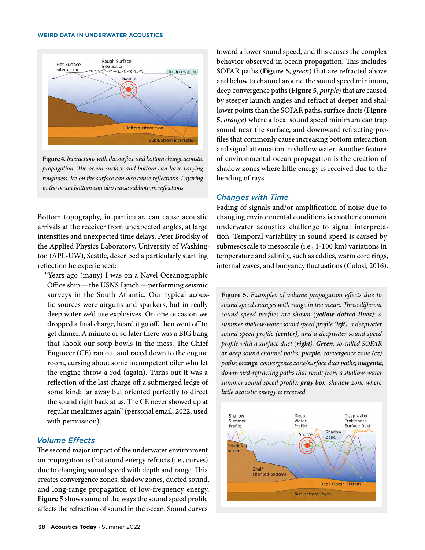#### **WEIRD DATA IN UNDERWATER ACOUSTICS**



**Figure 4.** *Interactions with the surface and bottom change acoustic propagation. The ocean surface and bottom can have varying roughness. Ice on the surface can also cause reflections. Layering in the ocean bottom can also cause subbottom reflections.*

Bottom topography, in particular, can cause acoustic arrivals at the receiver from unexpected angles, at large intensities and unexpected time delays. Peter Brodsky of the Applied Physics Laboratory, University of Washington (APL-UW), Seattle, described a particularly startling reflection he experienced:

"Years ago (many) I was on a Navel Oceanographic Office ship—the USNS Lynch—performing seismic surveys in the South Atlantic. Our typical acoustic sources were airguns and sparkers, but in really deep water we'd use explosives. On one occasion we dropped a final charge, heard it go off, then went off to get dinner. A minute or so later there was a BIG bang that shook our soup bowls in the mess. The Chief Engineer (CE) ran out and raced down to the engine room, cursing about some incompetent oiler who let the engine throw a rod (again). Turns out it was a reflection of the last charge off a submerged ledge of some kind; far away but oriented perfectly to direct the sound right back at us. The CE never showed up at regular mealtimes again" (personal email, 2022, used with permission).

#### *Volume Effects*

The second major impact of the underwater environment on propagation is that sound energy refracts (i.e., curves) due to changing sound speed with depth and range. This creates convergence zones, shadow zones, ducted sound, and long-range propagation of low-frequency energy. **Figure 5** shows some of the ways the sound speed profile affects the refraction of sound in the ocean. Sound curves

toward a lower sound speed, and this causes the complex behavior observed in ocean propagation. This includes SOFAR paths (**Figure 5**, *green*) that are refracted above and below to channel around the sound speed minimum, deep convergence paths (**Figure 5**, *purple*) that are caused by steeper launch angles and refract at deeper and shallower points than the SOFAR paths, surface ducts (**Figure 5**, *orange*) where a local sound speed minimum can trap sound near the surface, and downward refracting profiles that commonly cause increasing bottom interaction and signal attenuation in shallow water. Another feature of environmental ocean propagation is the creation of shadow zones where little energy is received due to the bending of rays.

#### *Changes with Time*

Fading of signals and/or amplification of noise due to changing environmental conditions is another common underwater acoustics challenge to signal interpretation. Temporal variability in sound speed is caused by submesoscale to mesoscale (i.e., 1-100 km) variations in temperature and salinity, such as eddies, warm core rings, internal waves, and buoyancy fluctuations (Colosi, 2016).

**Figure 5.** *Examples of volume propagation effects due to sound speed changes with range in the ocean. Three different sound speed profiles are shown (yellow dotted lines): a summer shallow-water sound speed profile (left), a deepwater sound speed profile (center), and a deepwater sound speed profile with a surface duct (right). Green, so-called SOFAR or deep sound channel paths; purple, convergence zone (cz) paths; orange, convergence zone/surface duct paths; magenta, downward-refracting paths that result from a shallow-water summer sound speed profile; gray box, shadow zone where little acoustic energy is received.*

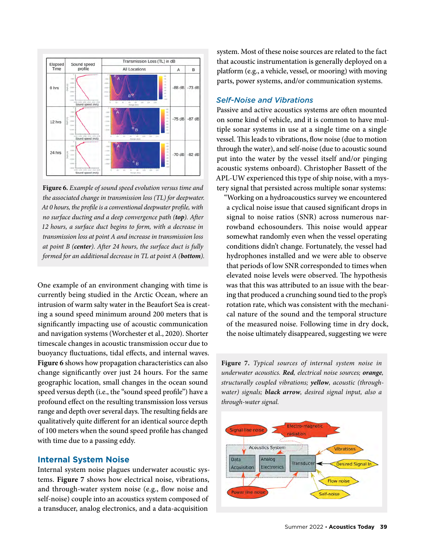

**Figure 6.** *Example of sound speed evolution versus time and the associated change in transmission loss (TL) for deepwater. At 0 hours, the profile is a conventional deepwater profile, with no surface ducting and a deep convergence path (top). After 12 hours, a surface duct begins to form, with a decrease in transmission loss at point A and increase in transmission loss at point B (center). After 24 hours, the surface duct is fully formed for an additional decrease in TL at point A (bottom).*

One example of an environment changing with time is currently being studied in the Arctic Ocean, where an intrusion of warm salty water in the Beaufort Sea is creating a sound speed minimum around 200 meters that is significantly impacting use of acoustic communication and navigation systems (Worchester et al., 2020). Shorter timescale changes in acoustic transmission occur due to buoyancy fluctuations, tidal effects, and internal waves. **Figure 6** shows how propagation characteristics can also change significantly over just 24 hours. For the same geographic location, small changes in the ocean sound speed versus depth (i.e., the "sound speed profile") have a profound effect on the resulting transmission loss versus range and depth over several days. The resulting fields are qualitatively quite different for an identical source depth of 100 meters when the sound speed profile has changed with time due to a passing eddy.

# **Internal System Noise**

Internal system noise plagues underwater acoustic systems. **Figure 7** shows how electrical noise, vibrations, and through-water system noise (e.g., flow noise and self-noise) couple into an acoustics system composed of a transducer, analog electronics, and a data-acquisition

system. Most of these noise sources are related to the fact that acoustic instrumentation is generally deployed on a platform (e.g., a vehicle, vessel, or mooring) with moving parts, power systems, and/or communication systems.

## *Self-Noise and Vibrations*

Passive and active acoustics systems are often mounted on some kind of vehicle, and it is common to have multiple sonar systems in use at a single time on a single vessel. This leads to vibrations, flow noise (due to motion through the water), and self-noise (due to acoustic sound put into the water by the vessel itself and/or pinging acoustic systems onboard). Christopher Bassett of the APL-UW experienced this type of ship noise, with a mystery signal that persisted across multiple sonar systems:

"Working on a hydroacoustics survey we encountered a cyclical noise issue that caused significant drops in signal to noise ratios (SNR) across numerous narrowband echosounders. This noise would appear somewhat randomly even when the vessel operating conditions didn't change. Fortunately, the vessel had hydrophones installed and we were able to observe that periods of low SNR corresponded to times when elevated noise levels were observed. The hypothesis was that this was attributed to an issue with the bearing that produced a crunching sound tied to the prop's rotation rate, which was consistent with the mechanical nature of the sound and the temporal structure of the measured noise. Following time in dry dock, the noise ultimately disappeared, suggesting we were

**Figure 7.** *Typical sources of internal system noise in underwater acoustics. Red, electrical noise sources; orange, structurally coupled vibrations; yellow, acoustic (throughwater) signals; black arrow, desired signal input, also a through-water signal.*

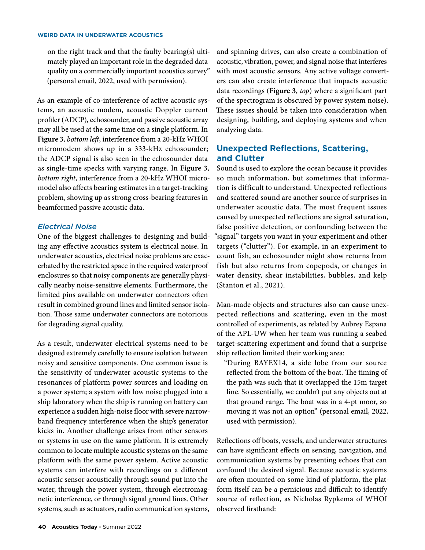on the right track and that the faulty bearing(s) ultimately played an important role in the degraded data quality on a commercially important acoustics survey" (personal email, 2022, used with permission).

As an example of co-interference of active acoustic systems, an acoustic modem, acoustic Doppler current profiler (ADCP), echosounder, and passive acoustic array may all be used at the same time on a single platform. In **Figure 3**, *bottom left*, interference from a 20-kHz WHOI micromodem shows up in a 333-kHz echosounder; the ADCP signal is also seen in the echosounder data as single-time specks with varying range. In **Figure 3**, *bottom right*, interference from a 20-kHz WHOI micromodel also affects bearing estimates in a target-tracking problem, showing up as strong cross-bearing features in beamformed passive acoustic data.

## *Electrical Noise*

One of the biggest challenges to designing and building any effective acoustics system is electrical noise. In underwater acoustics, electrical noise problems are exacerbated by the restricted space in the required waterproof enclosures so that noisy components are generally physically nearby noise-sensitive elements. Furthermore, the limited pins available on underwater connectors often result in combined ground lines and limited sensor isolation. Those same underwater connectors are notorious for degrading signal quality.

As a result, underwater electrical systems need to be designed extremely carefully to ensure isolation between noisy and sensitive components. One common issue is the sensitivity of underwater acoustic systems to the resonances of platform power sources and loading on a power system; a system with low noise plugged into a ship laboratory when the ship is running on battery can experience a sudden high-noise floor with severe narrowband frequency interference when the ship's generator kicks in. Another challenge arises from other sensors or systems in use on the same platform. It is extremely common to locate multiple acoustic systems on the same platform with the same power system. Active acoustic systems can interfere with recordings on a different acoustic sensor acoustically through sound put into the water, through the power system, through electromagnetic interference, or through signal ground lines. Other systems, such as actuators, radio communication systems,

and spinning drives, can also create a combination of acoustic, vibration, power, and signal noise that interferes with most acoustic sensors. Any active voltage converters can also create interference that impacts acoustic data recordings (**Figure 3**, *top*) where a significant part of the spectrogram is obscured by power system noise). These issues should be taken into consideration when designing, building, and deploying systems and when analyzing data.

# **Unexpected Reflections, Scattering, and Clutter**

Sound is used to explore the ocean because it provides so much information, but sometimes that information is difficult to understand. Unexpected reflections and scattered sound are another source of surprises in underwater acoustic data. The most frequent issues caused by unexpected reflections are signal saturation, false positive detection, or confounding between the "signal" targets you want in your experiment and other targets ("clutter"). For example, in an experiment to count fish, an echosounder might show returns from fish but also returns from copepods, or changes in water density, shear instabilities, bubbles, and kelp (Stanton et al., 2021).

Man-made objects and structures also can cause unexpected reflections and scattering, even in the most controlled of experiments, as related by Aubrey Espana of the APL-UW when her team was running a seabed target-scattering experiment and found that a surprise ship reflection limited their working area:

"During BAYEX14, a side lobe from our source reflected from the bottom of the boat. The timing of the path was such that it overlapped the 15m target line. So essentially, we couldn't put any objects out at that ground range. The boat was in a 4-pt moor, so moving it was not an option" (personal email, 2022, used with permission).

Reflections off boats, vessels, and underwater structures can have significant effects on sensing, navigation, and communication systems by presenting echoes that can confound the desired signal. Because acoustic systems are often mounted on some kind of platform, the platform itself can be a pernicious and difficult to identify source of reflection, as Nicholas Rypkema of WHOI observed firsthand: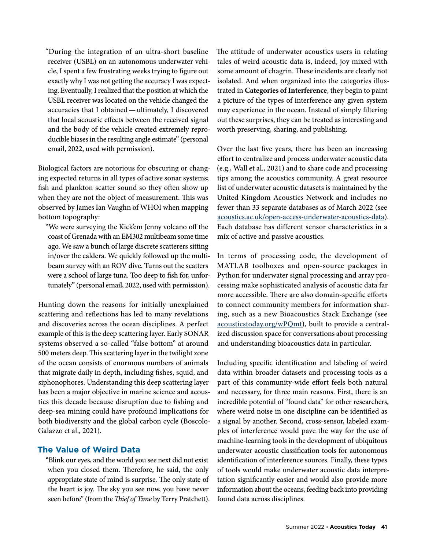"During the integration of an ultra-short baseline receiver (USBL) on an autonomous underwater vehicle, I spent a few frustrating weeks trying to figure out exactly why I was not getting the accuracy I was expecting. Eventually, I realized that the position at which the USBL receiver was located on the vehicle changed the accuracies that I obtained—ultimately, I discovered that local acoustic effects between the received signal and the body of the vehicle created extremely reproducible biases in the resulting angle estimate" (personal email, 2022, used with permission).

Biological factors are notorious for obscuring or changing expected returns in all types of active sonar systems; fish and plankton scatter sound so they often show up when they are not the object of measurement. This was observed by James Ian Vaughn of WHOI when mapping bottom topography:

"We were surveying the Kick'em Jenny volcano off the coast of Grenada with an EM302 multibeam some time ago. We saw a bunch of large discrete scatterers sitting in/over the caldera. We quickly followed up the multibeam survey with an ROV dive. Turns out the scatters were a school of large tuna. Too deep to fish for, unfortunately" (personal email, 2022, used with permission).

Hunting down the reasons for initially unexplained scattering and reflections has led to many revelations and discoveries across the ocean disciplines. A perfect example of this is the deep scattering layer. Early SONAR systems observed a so-called "false bottom" at around 500 meters deep. This scattering layer in the twilight zone of the ocean consists of enormous numbers of animals that migrate daily in depth, including fishes, squid, and siphonophores. Understanding this deep scattering layer has been a major objective in marine science and acoustics this decade because disruption due to fishing and deep-sea mining could have profound implications for both biodiversity and the global carbon cycle (Boscolo-Galazzo et al., 2021).

# **The Value of Weird Data**

"Blink our eyes, and the world you see next did not exist when you closed them. Therefore, he said, the only appropriate state of mind is surprise. The only state of the heart is joy. The sky you see now, you have never seen before" (from the *Thief of Time* by Terry Pratchett). The attitude of underwater acoustics users in relating tales of weird acoustic data is, indeed, joy mixed with some amount of chagrin. These incidents are clearly not isolated. And when organized into the categories illustrated in **Categories of Interference**, they begin to paint a picture of the types of interference any given system may experience in the ocean. Instead of simply filtering out these surprises, they can be treated as interesting and worth preserving, sharing, and publishing.

Over the last five years, there has been an increasing effort to centralize and process underwater acoustic data (e.g., Wall et al., 2021) and to share code and processing tips among the acoustics community. A great resource list of underwater acoustic datasets is maintained by the United Kingdom Acoustics Network and includes no fewer than 33 separate databases as of March 2022 (see [acoustics.ac.uk/open-access-underwater-acoustics-data\)](https://acoustics.ac.uk/open-access-underwater-acoustics-data/). Each database has different sensor characteristics in a mix of active and passive acoustics.

In terms of processing code, the development of MATLAB toolboxes and open-source packages in Python for underwater signal processing and array processing make sophisticated analysis of acoustic data far more accessible. There are also domain-specific efforts to connect community members for information sharing, such as a new Bioacoustics Stack Exchange (see [acousticstoday.org/wPQmt](http://acousticstoday.org/wPQmt)), built to provide a centralized discussion space for conversations about processing and understanding bioacoustics data in particular.

Including specific identification and labeling of weird data within broader datasets and processing tools as a part of this community-wide effort feels both natural and necessary, for three main reasons. First, there is an incredible potential of "found data" for other researchers, where weird noise in one discipline can be identified as a signal by another. Second, cross-sensor, labeled examples of interference would pave the way for the use of machine-learning tools in the development of ubiquitous underwater acoustic classification tools for autonomous identification of interference sources. Finally, these types of tools would make underwater acoustic data interpretation significantly easier and would also provide more information about the oceans, feeding back into providing found data across disciplines.